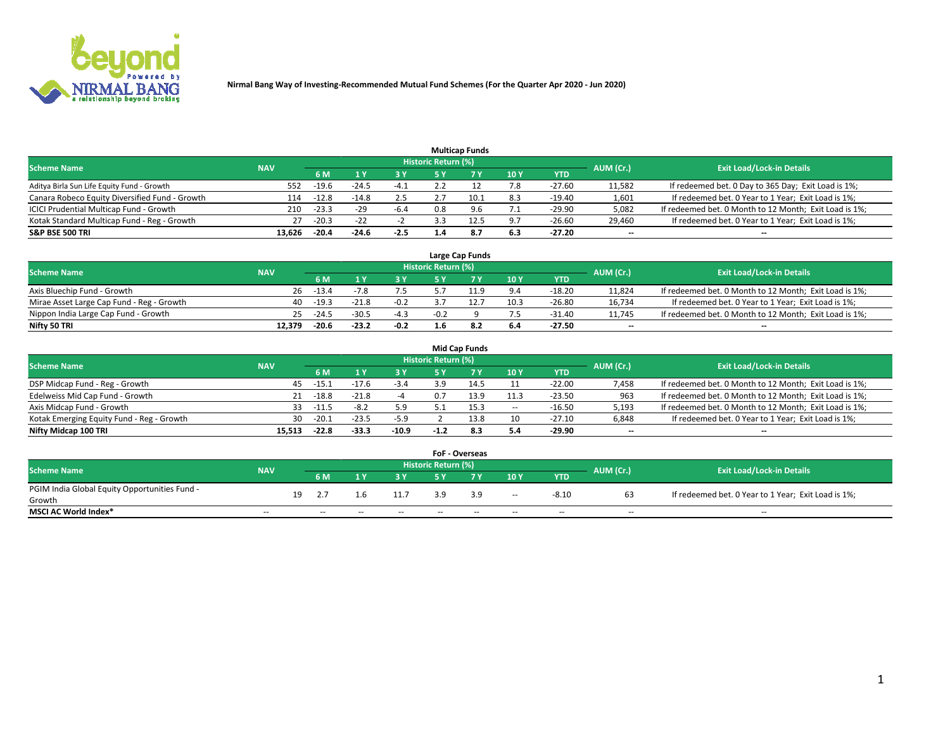

|                                                |            |         |         |        |                     | <b>Multicap Funds</b> |     |            |           |                                                        |
|------------------------------------------------|------------|---------|---------|--------|---------------------|-----------------------|-----|------------|-----------|--------------------------------------------------------|
| <b>Scheme Name</b>                             | <b>NAV</b> |         |         |        | Historic Return (%) |                       |     |            | AUM (Cr.) | <b>Exit Load/Lock-in Details</b>                       |
|                                                |            | 6 M     |         | 3 Y    | 5 Y                 |                       | 10Y | <b>YTD</b> |           |                                                        |
| Aditya Birla Sun Life Equity Fund - Growth     | 552        | $-19.6$ | $-24.5$ | $-4.1$ |                     |                       | 7.8 | $-27.60$   | 11,582    | If redeemed bet. 0 Day to 365 Day; Exit Load is 1%;    |
| Canara Robeco Equity Diversified Fund - Growth | 114        | $-12.8$ | $-14.8$ | 2.5    | z.                  | 10.1                  | 8.3 | $-19.40$   | 1,601     | If redeemed bet. 0 Year to 1 Year; Exit Load is 1%;    |
| ICICI Prudential Multicap Fund - Growth        | 210        | $-23.3$ | $-29$   | $-6.4$ | 0.8                 | 9.6                   | 7.1 | $-29.90$   | 5,082     | If redeemed bet. 0 Month to 12 Month; Exit Load is 1%; |
| Kotak Standard Multicap Fund - Reg - Growth    | 27         | $-20.3$ | $-22$   |        |                     | 12.5                  | 9.7 | $-26.60$   | 29,460    | If redeemed bet. 0 Year to 1 Year; Exit Load is 1%;    |
| <b>S&amp;P BSE 500 TRI</b>                     | 13.626     | $-20.4$ | $-24.6$ | $-2.5$ | 1.4                 | 8.7                   | 6.3 | $-27.20$   | --        | $\overline{\phantom{a}}$                               |

|                                           |            |         |         |        |                            | Large Cap Funds |      |            |           |                                                        |
|-------------------------------------------|------------|---------|---------|--------|----------------------------|-----------------|------|------------|-----------|--------------------------------------------------------|
| <b>Scheme Name</b>                        | <b>NAV</b> |         |         |        | <b>Historic Return (%)</b> |                 |      |            | AUM (Cr.) | <b>Exit Load/Lock-in Details</b>                       |
|                                           |            | 6 M     |         | 2 V.   | ςv                         |                 | 10Y  | <b>YTD</b> |           |                                                        |
| Axis Bluechip Fund - Growth               | 26         | $-13.4$ |         | 7.5    |                            |                 | 9.4  | $-18.20$   | 11,824    | If redeemed bet. 0 Month to 12 Month; Exit Load is 1%; |
| Mirae Asset Large Cap Fund - Reg - Growth | 40         | $-19.3$ | $-21.8$ | $-0.2$ |                            | 12.7            | 10.3 | $-26.80$   | 16.734    | If redeemed bet. 0 Year to 1 Year; Exit Load is 1%;    |
| Nippon India Large Cap Fund - Growth      | 25.        | $-24.5$ | $-30.5$ | $-4.3$ | $-0.2$                     |                 |      | -31.40     | 11.745    | If redeemed bet. 0 Month to 12 Month; Exit Load is 1%; |
| Nifty 50 TRI                              | 12.379     | $-20.6$ | $-23.2$ | $-0.2$ | 1.6                        | -8.2            | 6.4  | $-27.50$   | --        | $- -$                                                  |

|                                           |            |         |         |           |                            | <b>Mid Cap Funds</b> |       |            |                          |                                                        |
|-------------------------------------------|------------|---------|---------|-----------|----------------------------|----------------------|-------|------------|--------------------------|--------------------------------------------------------|
| <b>Scheme Name</b>                        | <b>NAV</b> |         |         |           | <b>Historic Return (%)</b> |                      |       |            | AUM (Cr.)                | <b>Exit Load/Lock-in Details</b>                       |
|                                           |            | 6 M     |         | <b>3Y</b> | 5 Y                        |                      | 10 Y  | <b>YTD</b> |                          |                                                        |
| DSP Midcap Fund - Reg - Growth            | 45         | $-15.1$ | $-17.6$ | $-3.4$    |                            | 14.5                 |       | $-22.00$   | 7,458                    | If redeemed bet. 0 Month to 12 Month; Exit Load is 1%; |
| Edelweiss Mid Cap Fund - Growth           | 21         | $-18.8$ | $-21.8$ | -4        | 0.7                        | 13.9                 | 11.3  | $-23.50$   | 963                      | If redeemed bet. 0 Month to 12 Month; Exit Load is 1%; |
| Axis Midcap Fund - Growth                 | 33         | $-11.5$ | $-8.2$  | 5.9       |                            | 15.3                 | $\!-$ | $-16.50$   | 5,193                    | If redeemed bet. 0 Month to 12 Month; Exit Load is 1%; |
| Kotak Emerging Equity Fund - Reg - Growth | 30         | $-20.1$ | $-23.5$ | $-5.9$    |                            | 13.8                 | 10    | $-27.10$   | 6,848                    | If redeemed bet. 0 Year to 1 Year; Exit Load is 1%;    |
| Nifty Midcap 100 TRI                      | 15.513     | $-22.8$ | $-33.3$ | $-10.9$   | $-1.2$                     | 8.3                  | 5.4   | $-29.90$   | $\overline{\phantom{m}}$ | $- -$                                                  |

|                                               |                          |    |        |       |       |                            | <b>FoF - Overseas</b> |                          |            |                          |                                                     |
|-----------------------------------------------|--------------------------|----|--------|-------|-------|----------------------------|-----------------------|--------------------------|------------|--------------------------|-----------------------------------------------------|
| <b>Scheme Name</b>                            | <b>NAV</b>               |    |        |       |       | <b>Historic Return (%)</b> |                       |                          |            | AUM (Cr.)                | <b>Exit Load/Lock-in Details</b>                    |
|                                               |                          |    | 6 M    |       | 2 V.  | E V                        |                       | 10Y                      | <b>YTD</b> |                          |                                                     |
| PGIM India Global Equity Opportunities Fund - |                          | 19 | 2.7    | 1.6   | 11.7  | -3.9                       | 3.9                   | $\overline{\phantom{a}}$ | -8.10      | 63                       | If redeemed bet. 0 Year to 1 Year; Exit Load is 1%; |
| Growth                                        |                          |    |        |       |       |                            |                       |                          |            |                          |                                                     |
| <b>MSCI AC World Index*</b>                   | $\overline{\phantom{a}}$ |    | $\sim$ | $- -$ | $- -$ | $\sim$                     | $- -$                 | $\overline{\phantom{a}}$ | $\sim$     | $\overline{\phantom{m}}$ | $\sim$                                              |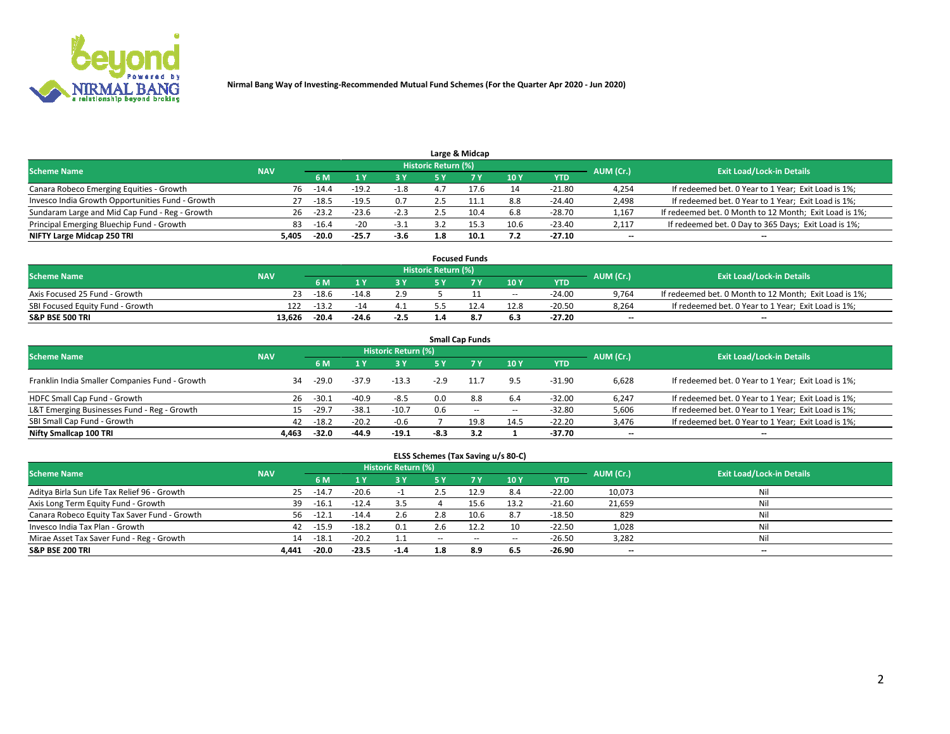

|                                                  |            |           |         |        |                     | Large & Midcap |      |          |           |                                                        |
|--------------------------------------------------|------------|-----------|---------|--------|---------------------|----------------|------|----------|-----------|--------------------------------------------------------|
| <b>Scheme Name</b>                               | <b>NAV</b> |           |         |        | Historic Return (%) |                |      |          | AUM (Cr.) | <b>Exit Load/Lock-in Details</b>                       |
|                                                  |            | <b>6M</b> |         | 3 Y    |                     |                | 10Y  | YTD      |           |                                                        |
| Canara Robeco Emerging Equities - Growth         | 76         | $-14.4$   | $-19.2$ | $-1.8$ |                     |                | 14   | $-21.80$ | 4,254     | If redeemed bet. 0 Year to 1 Year; Exit Load is 1%;    |
| Invesco India Growth Opportunities Fund - Growth | 27         | $-18.5$   | $-19.5$ | 0.7    |                     |                | 8.8  | $-24.40$ | 2,498     | If redeemed bet. 0 Year to 1 Year; Exit Load is 1%;    |
| Sundaram Large and Mid Cap Fund - Reg - Growth   | 26         | $-23.2$   | $-23.6$ | $-2.3$ |                     | 10.4           | 6.8  | $-28.70$ | 1,167     | If redeemed bet. 0 Month to 12 Month; Exit Load is 1%; |
| Principal Emerging Bluechip Fund - Growth        | 83         | $-16.4$   | $-20$   | $-3.1$ |                     |                | 10.6 | $-23.40$ | 2,117     | If redeemed bet. 0 Day to 365 Days; Exit Load is 1%;   |
| NIFTY Large Midcap 250 TRI                       | 5.405      | $-20.0$   | $-25.7$ | $-3.6$ | 1.8                 |                | 7.2  | $-27.10$ | $- -$     | $\overline{\phantom{a}}$                               |

|                                  |            |         |         |        |                     | <b>Focused Funds</b> |        |            |           |                                                        |
|----------------------------------|------------|---------|---------|--------|---------------------|----------------------|--------|------------|-----------|--------------------------------------------------------|
| <b>Scheme Name</b>               | <b>NAV</b> |         |         |        | Historic Return (%) |                      |        |            | AUM (Cr.) | <b>Exit Load/Lock-in Details</b>                       |
|                                  |            | 6 M     |         |        |                     |                      | 10Y    | <b>YTD</b> |           |                                                        |
| Axis Focused 25 Fund - Growth    | 23         | $-18.6$ | $-14.8$ | 2.9    |                     |                      | $\sim$ | $-24.00$   | 9.764     | If redeemed bet. 0 Month to 12 Month; Exit Load is 1%; |
| SBI Focused Equity Fund - Growth | 122        | $-13.2$ | $-14$   | 4.1    |                     |                      | 12.8   | $-20.50$   | 8.264     | If redeemed bet. 0 Year to 1 Year; Exit Load is 1%;    |
| <b>S&amp;P BSE 500 TRI</b>       | 13.626     | $-20.4$ | $-24.6$ | $-2.5$ |                     | 8.7                  | 6.3    | -27.20     | $- -$     | $\overline{\phantom{a}}$                               |

| <b>Small Cap Funds</b>                                                                                          |       |         |         |         |        |           |       |            |                          |                                                     |  |  |  |  |
|-----------------------------------------------------------------------------------------------------------------|-------|---------|---------|---------|--------|-----------|-------|------------|--------------------------|-----------------------------------------------------|--|--|--|--|
| <b>Historic Return (%)</b><br><b>Exit Load/Lock-in Details</b><br><b>Scheme Name</b><br><b>NAV</b><br>AUM (Cr.) |       |         |         |         |        |           |       |            |                          |                                                     |  |  |  |  |
|                                                                                                                 |       | 6 M     |         | 3 Y     | 5 Y    | <b>7Y</b> | 10Y   | <b>YTD</b> |                          |                                                     |  |  |  |  |
| Franklin India Smaller Companies Fund - Growth                                                                  | 34    | $-29.0$ | $-37.9$ | $-13.3$ | $-2.9$ | 11.7      | 9.5   | $-31.90$   | 6,628                    | If redeemed bet. 0 Year to 1 Year; Exit Load is 1%; |  |  |  |  |
| HDFC Small Cap Fund - Growth                                                                                    | 26    | $-30.1$ | $-40.9$ | $-8.5$  | 0.0    | 8.8       | 6.4   | $-32.00$   | 6,247                    | If redeemed bet. 0 Year to 1 Year; Exit Load is 1%; |  |  |  |  |
| L&T Emerging Businesses Fund - Reg - Growth                                                                     | 15    | $-29.7$ | $-38.1$ | $-10.7$ | 0.6    | $- -$     | $\!-$ | $-32.80$   | 5,606                    | If redeemed bet. 0 Year to 1 Year; Exit Load is 1%; |  |  |  |  |
| SBI Small Cap Fund - Growth                                                                                     | 42    | $-18.2$ | $-20.2$ | $-0.6$  |        | 19.8      | 14.5  | $-22.20$   | 3,476                    | If redeemed bet. 0 Year to 1 Year; Exit Load is 1%; |  |  |  |  |
| Nifty Smallcap 100 TRI                                                                                          | 4.463 | $-32.0$ | $-44.9$ | $-19.1$ | $-8.3$ | 3.2       |       | -37.70     | $\overline{\phantom{a}}$ | --                                                  |  |  |  |  |

## **ELSS Schemes (Tax Saving u/s 80-C)**

| <b>Scheme Name</b>                           | <b>NAV</b> |         |         | <b>Historic Return (%)</b> |       |      |                          |            | AUM (Cr.) | <b>Exit Load/Lock-in Details</b> |
|----------------------------------------------|------------|---------|---------|----------------------------|-------|------|--------------------------|------------|-----------|----------------------------------|
|                                              |            | 6 M     |         | <b>3Y</b>                  | 5 Y   |      | 10Y                      | <b>YTD</b> |           |                                  |
| Aditya Birla Sun Life Tax Relief 96 - Growth | 25         | $-14.7$ | $-20.6$ |                            | 2.5   | 12.9 | 8.4                      | $-22.00$   | 10,073    | Nil                              |
| Axis Long Term Equity Fund - Growth          | 39         | $-16.1$ | $-12.4$ | 3.5                        |       | 15.6 | 13.2                     | $-21.60$   | 21,659    | Nil                              |
| Canara Robeco Equity Tax Saver Fund - Growth | 56         | $-12.1$ | $-14.4$ | 2.6                        | 2.8   | 10.6 | 8.7                      | $-18.50$   | 829       | Nil                              |
| Invesco India Tax Plan - Growth              | 42         | $-15.9$ | $-18.2$ | 0.1                        | 2.6   |      | 10                       | $-22.50$   | 1,028     | Nil                              |
| Mirae Asset Tax Saver Fund - Reg - Growth    | 14         | $-18.1$ | $-20.2$ | 1.1                        | $- -$ | $-$  | $\overline{\phantom{a}}$ | $-26.50$   | 3,282     | Nil                              |
| <b>S&amp;P BSE 200 TRI</b>                   | 4.441      | $-20.0$ | $-23.5$ | $-1.4$                     | 1.8   | 8.9  | 6.5                      | $-26.90$   | $- -$     | $-$                              |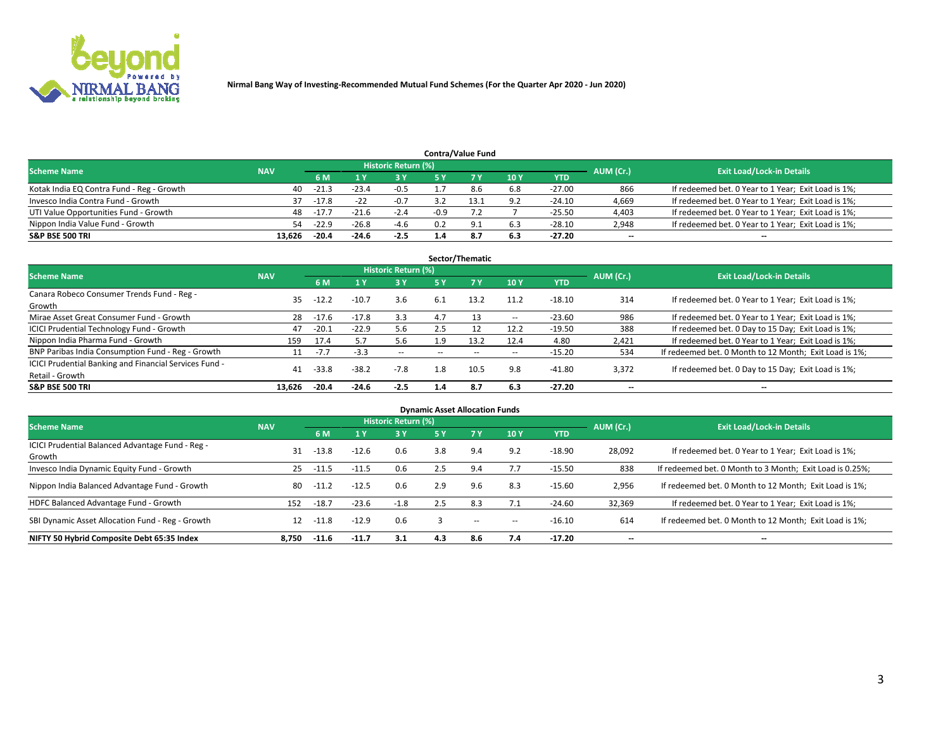

| <b>Contra/Value Fund</b>                  |            |           |                                  |            |        |     |     |            |       |                                                     |  |  |  |
|-------------------------------------------|------------|-----------|----------------------------------|------------|--------|-----|-----|------------|-------|-----------------------------------------------------|--|--|--|
| <b>Scheme Name</b>                        | <b>NAV</b> | AUM (Cr.) | <b>Exit Load/Lock-in Details</b> |            |        |     |     |            |       |                                                     |  |  |  |
|                                           |            | 6 M       |                                  | <b>3 Y</b> |        |     | 10Y | <b>YTD</b> |       |                                                     |  |  |  |
| Kotak India EQ Contra Fund - Reg - Growth | 40         | $-21.3$   | $-23.4$                          | $-0.5$     |        | 8.6 | 6.8 | $-27.00$   | 866   | If redeemed bet. 0 Year to 1 Year; Exit Load is 1%; |  |  |  |
| Invesco India Contra Fund - Growth        | 37         | -17.8     |                                  | $-0.7$     |        |     | 9.2 | $-24.10$   | 4,669 | If redeemed bet. 0 Year to 1 Year; Exit Load is 1%; |  |  |  |
| UTI Value Opportunities Fund - Growth     | 48         | $-17.7$   | $-21.6$                          | $-2.4$     | $-0.9$ |     |     | $-25.50$   | 4,403 | If redeemed bet. 0 Year to 1 Year; Exit Load is 1%; |  |  |  |
| Nippon India Value Fund - Growth          | 54         | $-22.9$   | $-26.8$                          | -4.6       | 0.2    | Q.  | 6.3 | $-28.10$   | 2,948 | If redeemed bet. 0 Year to 1 Year; Exit Load is 1%; |  |  |  |
| <b>S&amp;P BSE 500 TRI</b>                | 13.626     | $-20.4$   | $-24.6$                          | $-2.5$     | 1.4    | 8.7 | 6.3 | $-27.20$   | $- -$ | $\overline{\phantom{a}}$                            |  |  |  |

| Sector/Thematic                                                           |            |         |                         |                     |                          |           |                          |            |           |                                                        |  |  |  |
|---------------------------------------------------------------------------|------------|---------|-------------------------|---------------------|--------------------------|-----------|--------------------------|------------|-----------|--------------------------------------------------------|--|--|--|
| <b>Scheme Name</b>                                                        | <b>NAV</b> |         |                         | Historic Return (%) |                          |           |                          |            | AUM (Cr.) | <b>Exit Load/Lock-in Details</b>                       |  |  |  |
|                                                                           |            | 6 M     | $\mathbf{1} \mathbf{y}$ | 3 Y                 | 5 Y                      | <b>7Y</b> | 10Y                      | <b>YTD</b> |           |                                                        |  |  |  |
| Canara Robeco Consumer Trends Fund - Reg -<br>Growth                      | 35         | $-12.2$ | $-10.7$                 | 3.6                 | 6.1                      | 13.2      | 11.2                     | $-18.10$   | 314       | If redeemed bet. 0 Year to 1 Year; Exit Load is 1%;    |  |  |  |
| Mirae Asset Great Consumer Fund - Growth                                  | 28         | $-17.6$ | $-17.8$                 | 3.3                 | 4.7                      | 13        | --                       | $-23.60$   | 986       | If redeemed bet. 0 Year to 1 Year; Exit Load is 1%;    |  |  |  |
| <b>ICICI Prudential Technology Fund - Growth</b>                          | 47         | $-20.1$ | $-22.9$                 | 5.6                 | 2.5                      | 12        | 12.2                     | $-19.50$   | 388       | If redeemed bet. 0 Day to 15 Day; Exit Load is 1%;     |  |  |  |
| Nippon India Pharma Fund - Growth                                         | 159        | 17.4    | 5.7                     | 5.6                 | 1.9                      | 13.2      | 12.4                     | 4.80       | 2.421     | If redeemed bet. 0 Year to 1 Year; Exit Load is 1%;    |  |  |  |
| BNP Paribas India Consumption Fund - Reg - Growth                         |            | $-7.7$  | $-3.3$                  | $\sim$              | $\overline{\phantom{a}}$ | $- -$     | $\overline{\phantom{a}}$ | $-15.20$   | 534       | If redeemed bet. 0 Month to 12 Month; Exit Load is 1%; |  |  |  |
| ICICI Prudential Banking and Financial Services Fund -<br>Retail - Growth | 41         | $-33.8$ | $-38.2$                 | $-7.8$              | 1.8                      | 10.5      | 9.8                      | $-41.80$   | 3,372     | If redeemed bet. 0 Day to 15 Day; Exit Load is 1%;     |  |  |  |
| <b>S&amp;P BSE 500 TRI</b>                                                | 13.626     | $-20.4$ | $-24.6$                 | $-2.5$              | 1.4                      | -8.7      | 6.3                      | $-27.20$   | --        | $- -$                                                  |  |  |  |

| <b>Dynamic Asset Allocation Funds</b>                      |            |         |         |                     |     |                          |            |            |                          |                                                          |  |  |  |
|------------------------------------------------------------|------------|---------|---------|---------------------|-----|--------------------------|------------|------------|--------------------------|----------------------------------------------------------|--|--|--|
| <b>Scheme Name</b>                                         | <b>NAV</b> |         |         | Historic Return (%) |     |                          |            |            | AUM (Cr.)                | <b>Exit Load/Lock-in Details</b>                         |  |  |  |
|                                                            |            | 6 M     |         | $-3Y$               | 5 Y | <b>7Y</b>                | <b>10Y</b> | <b>YTD</b> |                          |                                                          |  |  |  |
| ICICI Prudential Balanced Advantage Fund - Reg -<br>Growth | 31         | $-13.8$ | $-12.6$ | 0.6                 | 3.8 | 9.4                      | 9.2        | $-18.90$   | 28,092                   | If redeemed bet. 0 Year to 1 Year; Exit Load is 1%;      |  |  |  |
| Invesco India Dynamic Equity Fund - Growth                 | 25         | $-11.5$ | $-11.5$ | 0.6                 | 2.5 | 9.4                      | 7.7        | $-15.50$   | 838                      | If redeemed bet. 0 Month to 3 Month; Exit Load is 0.25%; |  |  |  |
| Nippon India Balanced Advantage Fund - Growth              | 80         | $-11.2$ | $-12.5$ | 0.6                 | 2.9 | 9.6                      | 8.3        | $-15.60$   | 2,956                    | If redeemed bet. 0 Month to 12 Month; Exit Load is 1%;   |  |  |  |
| HDFC Balanced Advantage Fund - Growth                      | 152        | $-18.7$ | $-23.6$ | $-1.8$              | 2.5 | 8.3                      |            | $-24.60$   | 32,369                   | If redeemed bet. 0 Year to 1 Year; Exit Load is 1%;      |  |  |  |
| SBI Dynamic Asset Allocation Fund - Reg - Growth           | 12         | $-11.8$ | $-12.9$ | 0.6                 |     | $\overline{\phantom{a}}$ | --         | $-16.10$   | 614                      | If redeemed bet. 0 Month to 12 Month; Exit Load is 1%;   |  |  |  |
| NIFTY 50 Hybrid Composite Debt 65:35 Index                 | 8.750      | $-11.6$ | $-11.7$ | 3.1                 | 4.3 | 8.6                      | 7.4        | $-17.20$   | $\overline{\phantom{a}}$ | --                                                       |  |  |  |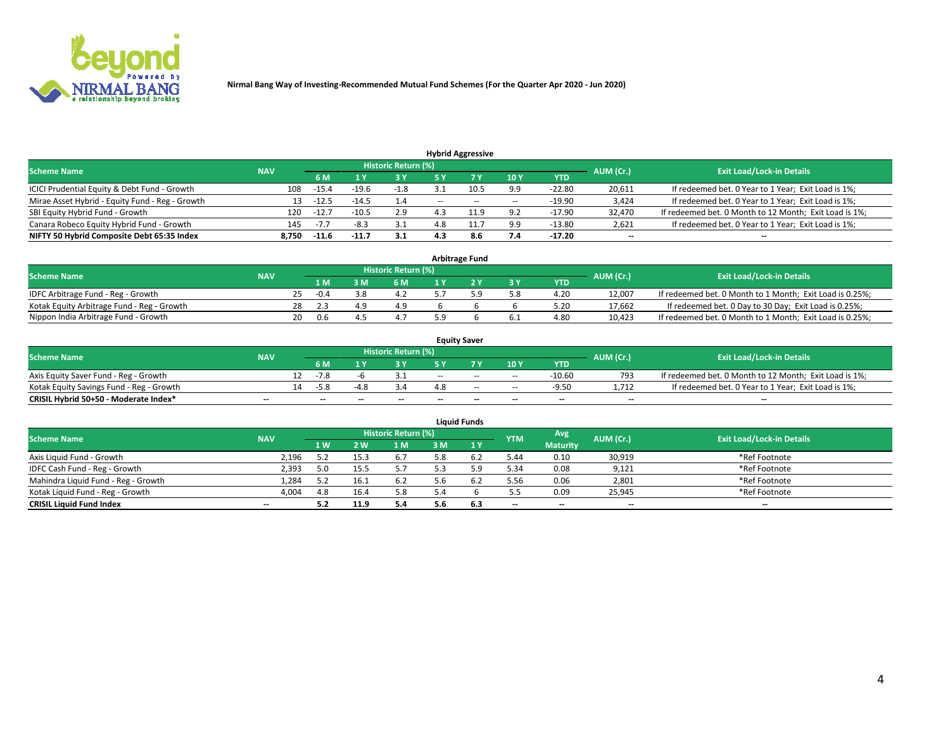

| <b>Hybrid Aggressive</b>                        |            |                                  |         |      |       |       |                          |          |                          |                                                        |  |  |  |
|-------------------------------------------------|------------|----------------------------------|---------|------|-------|-------|--------------------------|----------|--------------------------|--------------------------------------------------------|--|--|--|
| <b>Scheme Name</b>                              | AUM (Cr.)  | <b>Exit Load/Lock-in Details</b> |         |      |       |       |                          |          |                          |                                                        |  |  |  |
|                                                 | <b>NAV</b> | 6 M                              |         | 73 Y | 5 ۷   |       | 10Y                      | YTD      |                          |                                                        |  |  |  |
| ICICI Prudential Equity & Debt Fund - Growth    | 108        | $-15.4$                          | $-19.6$ | -1.8 |       |       | 9.9                      | $-22.80$ | 20,611                   | If redeemed bet. 0 Year to 1 Year; Exit Load is 1%;    |  |  |  |
| Mirae Asset Hybrid - Equity Fund - Reg - Growth | 13         | $-12.5$                          | $-14.5$ | 1.4  | $- -$ | $- -$ | $\overline{\phantom{a}}$ | $-19.90$ | 3,424                    | If redeemed bet. 0 Year to 1 Year; Exit Load is 1%;    |  |  |  |
| SBI Equity Hybrid Fund - Growth                 | 120        | $-12.1$                          | $-10.5$ | 2.9  | 4.3   | 11 Q  | 9.2                      | $-17.90$ | 32.470                   | If redeemed bet. 0 Month to 12 Month; Exit Load is 1%; |  |  |  |
| Canara Robeco Equity Hybrid Fund - Growth       | 145        | $-1.1$                           |         |      |       |       | 9.9                      | $-13.80$ | 2,621                    | If redeemed bet. 0 Year to 1 Year; Exit Load is 1%;    |  |  |  |
| NIFTY 50 Hybrid Composite Debt 65:35 Index      | 8,750      | -11.6                            | $-11.7$ | 3.1  | 4.3   | 8.6   | 7.4                      | $-17.20$ | $\overline{\phantom{a}}$ | --                                                     |  |  |  |

| <b>Arbitrage Fund</b>                      |            |    |        |  |                     |  |  |     |            |           |                                                          |  |  |
|--------------------------------------------|------------|----|--------|--|---------------------|--|--|-----|------------|-----------|----------------------------------------------------------|--|--|
| <b>Scheme Name</b>                         | <b>NAV</b> |    |        |  | Historic Return (%) |  |  |     |            | AUM (Cr.) | <b>Exit Load/Lock-in Details</b>                         |  |  |
|                                            |            |    | 1 M    |  | 6 M                 |  |  | 3 Y | <b>YTD</b> |           |                                                          |  |  |
| IDFC Arbitrage Fund - Reg - Growth         |            |    | $-0.4$ |  |                     |  |  | 5.8 | 4.20       | 12.007    | If redeemed bet. 0 Month to 1 Month; Exit Load is 0.25%; |  |  |
| Kotak Equity Arbitrage Fund - Reg - Growth |            | 28 | 2.3    |  | 4.9                 |  |  |     | 5.20       | 17.662    | If redeemed bet. 0 Day to 30 Day; Exit Load is 0.25%;    |  |  |
| Nippon India Arbitrage Fund - Growth       |            | 20 | 0.6    |  |                     |  |  | 6.1 | 4.80       | 10.423    | If redeemed bet. 0 Month to 1 Month; Exit Load is 0.25%; |  |  |

| <b>Equity Saver</b>                      |            |    |                          |                          |                     |        |       |                          |                          |           |                                                        |  |  |  |
|------------------------------------------|------------|----|--------------------------|--------------------------|---------------------|--------|-------|--------------------------|--------------------------|-----------|--------------------------------------------------------|--|--|--|
| <b>Scheme Name</b>                       | <b>NAV</b> |    |                          |                          | Historic Return (%) |        |       |                          |                          | AUM (Cr.) | <b>Exit Load/Lock-in Details</b>                       |  |  |  |
|                                          |            |    | 6 M                      |                          |                     | E V    |       | 10Y                      | <b>YTD</b>               |           |                                                        |  |  |  |
| Axis Equity Saver Fund - Reg - Growth    |            |    | $-7.8$                   |                          |                     | $-$    | $- -$ | $\overline{\phantom{a}}$ | $-10.60$                 | 793       | If redeemed bet. 0 Month to 12 Month; Exit Load is 1%; |  |  |  |
| Kotak Equity Savings Fund - Reg - Growth |            | 14 | -52                      |                          |                     |        | $-$   | $\sim$                   | $-9.50$                  | 1.712     | If redeemed bet. 0 Year to 1 Year; Exit Load is 1%;    |  |  |  |
| CRISIL Hybrid 50+50 - Moderate Index*    | $- -$      |    | $\overline{\phantom{a}}$ | $\overline{\phantom{a}}$ | $- -$               | $\sim$ | $- -$ | $\overline{\phantom{a}}$ | $\overline{\phantom{a}}$ | $- -$     | --                                                     |  |  |  |

| <b>Liquid Funds</b>                 |            |     |                |                            |     |       |            |                 |           |                                  |  |  |  |  |
|-------------------------------------|------------|-----|----------------|----------------------------|-----|-------|------------|-----------------|-----------|----------------------------------|--|--|--|--|
| <b>Scheme Name</b>                  | <b>NAV</b> |     |                | <b>Historic Return (%)</b> |     |       | <b>YTM</b> | Avg             | AUM (Cr.) | <b>Exit Load/Lock-in Details</b> |  |  |  |  |
|                                     |            | 1W  | $\overline{M}$ | 1 M                        | ះ M | 71 Y. |            | <b>Maturity</b> |           |                                  |  |  |  |  |
| Axis Liquid Fund - Growth           | 2.196      |     |                | 6.7                        | 5.8 |       | 5.44       | 0.10            | 30,919    | *Ref Footnote                    |  |  |  |  |
| IDFC Cash Fund - Reg - Growth       | 2,393      | 5.0 |                | 5.7                        |     |       | 5.34       | 0.08            | 9,121     | *Ref Footnote                    |  |  |  |  |
| Mahindra Liquid Fund - Reg - Growth | 1,284      |     | 16.1           | 6.2                        | o.b | 6.2   | 5.56       | 0.06            | 2,801     | *Ref Footnote                    |  |  |  |  |
| Kotak Liquid Fund - Reg - Growth    | 4,004      | 4.8 | 16.4           | 5.8                        | 5.4 |       | 5.5        | 0.09            | 25,945    | *Ref Footnote                    |  |  |  |  |
| <b>CRISIL Liquid Fund Index</b>     | $- -$      |     | 11.9           | 5.4                        | 5.6 | 6.3   | $-$        | $- -$           | $-$       | $-$                              |  |  |  |  |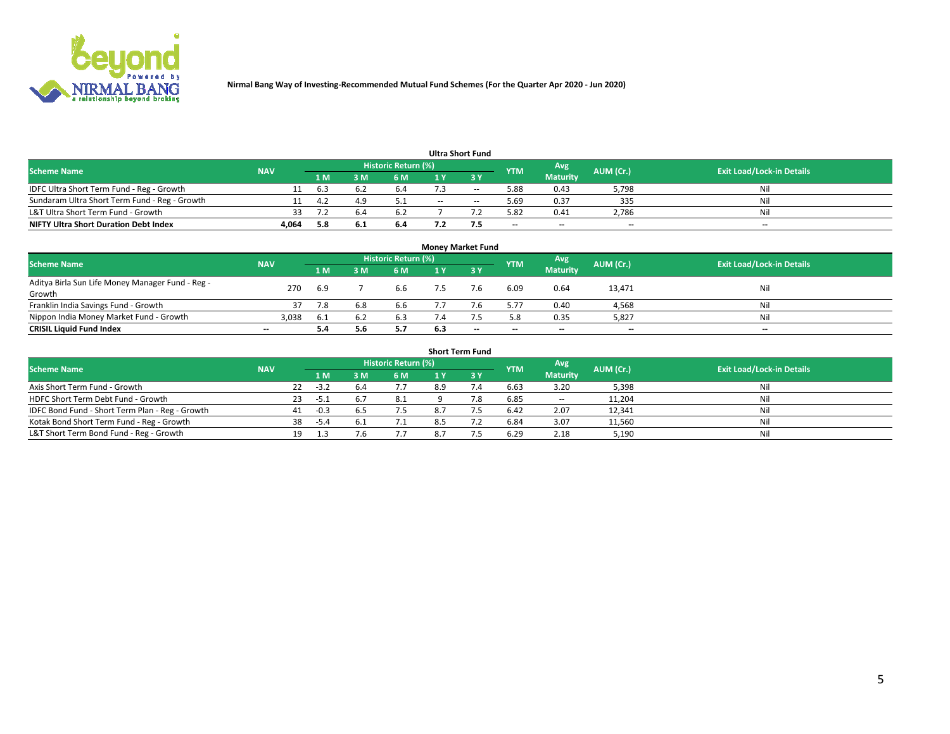

| Ultra Short Fund                              |            |       |     |                            |     |                          |                          |                          |                          |                                  |  |  |  |  |
|-----------------------------------------------|------------|-------|-----|----------------------------|-----|--------------------------|--------------------------|--------------------------|--------------------------|----------------------------------|--|--|--|--|
| Scheme Name                                   | <b>NAV</b> |       |     | <b>Historic Return (%)</b> |     |                          | <b>YTM</b>               | Avg                      | AUM (Cr.)                | <b>Exit Load/Lock-in Details</b> |  |  |  |  |
|                                               |            | 1 M . |     | 6 M                        |     | 2 V                      |                          | Maturity                 |                          |                                  |  |  |  |  |
| IDFC Ultra Short Term Fund - Reg - Growth     |            | 6.3   |     | o.4                        |     | $\overline{\phantom{a}}$ | 5.88                     | 0.43                     | 5,798                    | Nil                              |  |  |  |  |
| Sundaram Ultra Short Term Fund - Reg - Growth |            | ے.4   |     | 5.1                        | $-$ | $\sim$                   | 5.69                     | 0.37                     | 335                      | Nil                              |  |  |  |  |
| L&T Ultra Short Term Fund - Growth            | 33         |       |     | 6.2                        |     |                          | 5.82                     | 0.41                     | 2,786                    | Nil                              |  |  |  |  |
| <b>NIFTY Ultra Short Duration Debt Index</b>  | 4,064      | 5.8   | 6.1 | 6.4                        |     |                          | $\overline{\phantom{a}}$ | $\overline{\phantom{a}}$ | $\overline{\phantom{a}}$ | $- -$                            |  |  |  |  |

| <b>Money Market Fund</b>                         |                          |       |     |                            |                |       |                          |                 |           |                                  |  |  |  |  |
|--------------------------------------------------|--------------------------|-------|-----|----------------------------|----------------|-------|--------------------------|-----------------|-----------|----------------------------------|--|--|--|--|
| <b>Scheme Name</b>                               | <b>NAV</b>               |       |     | <b>Historic Return (%)</b> |                |       | <b>YTM</b>               | Avg             | AUM (Cr.) | <b>Exit Load/Lock-in Details</b> |  |  |  |  |
|                                                  |                          | 1 M   | ١M  | 6 M                        |                | 73 Y  |                          | <b>Maturity</b> |           |                                  |  |  |  |  |
| Aditya Birla Sun Life Money Manager Fund - Reg - | 270                      | -6.9  |     | 6.6                        |                | 7.6   | 6.09                     | 0.64            | 13,471    | Nil                              |  |  |  |  |
| Growth                                           |                          |       |     |                            |                |       |                          |                 |           |                                  |  |  |  |  |
| Franklin India Savings Fund - Growth             |                          |       | 6.8 | 6.6                        |                |       | 5.77                     | 0.40            | 4,568     | Nil                              |  |  |  |  |
| Nippon India Money Market Fund - Growth          | 3,038                    | - 6.1 |     | 6.3                        | $^{\prime}$ .4 |       | 5.8                      | 0.35            | 5,827     | Nil                              |  |  |  |  |
| <b>CRISIL Liquid Fund Index</b>                  | $\overline{\phantom{a}}$ | 5.4   |     | 5.7                        | 6.3            | $- -$ | $\overline{\phantom{a}}$ | $- -$           | $- -$     | $-$                              |  |  |  |  |

| <b>Short Term Fund</b>                          |            |    |        |     |                            |     |             |            |                          |           |                                  |  |  |  |
|-------------------------------------------------|------------|----|--------|-----|----------------------------|-----|-------------|------------|--------------------------|-----------|----------------------------------|--|--|--|
| <b>Scheme Name</b>                              | <b>NAV</b> |    |        |     | <b>Historic Return (%)</b> |     |             | <b>YTM</b> | Avg                      | AUM (Cr.) | <b>Exit Load/Lock-in Details</b> |  |  |  |
|                                                 |            |    | 1 M    | 3 M | 6 M                        | 1 Y | <b>23 V</b> |            | <b>Maturity</b>          |           |                                  |  |  |  |
| Axis Short Term Fund - Growth                   |            | 22 | $-3.2$ | 6.4 | 7.7                        | 8.9 | 7.4         | 6.63       | 3.20                     | 5,398     | Nil                              |  |  |  |
| HDFC Short Term Debt Fund - Growth              |            | 23 | -5.1   | b., | 8.1                        |     | 7.8         | 6.85       | $\overline{\phantom{a}}$ | 11,204    | Nil                              |  |  |  |
| IDFC Bond Fund - Short Term Plan - Reg - Growth |            | 41 | $-0.3$ | b.5 | 7.5                        |     |             | 6.42       | 2.07                     | 12,341    | Nil                              |  |  |  |
| Kotak Bond Short Term Fund - Reg - Growth       |            | 38 | -5.4   | b., | 7.1                        |     |             | 6.84       | 3.07                     | 11,560    | Nil                              |  |  |  |
| L&T Short Term Bond Fund - Reg - Growth         |            | 19 |        |     |                            |     |             | 6.29       | 2.18                     | 5,190     | Nil                              |  |  |  |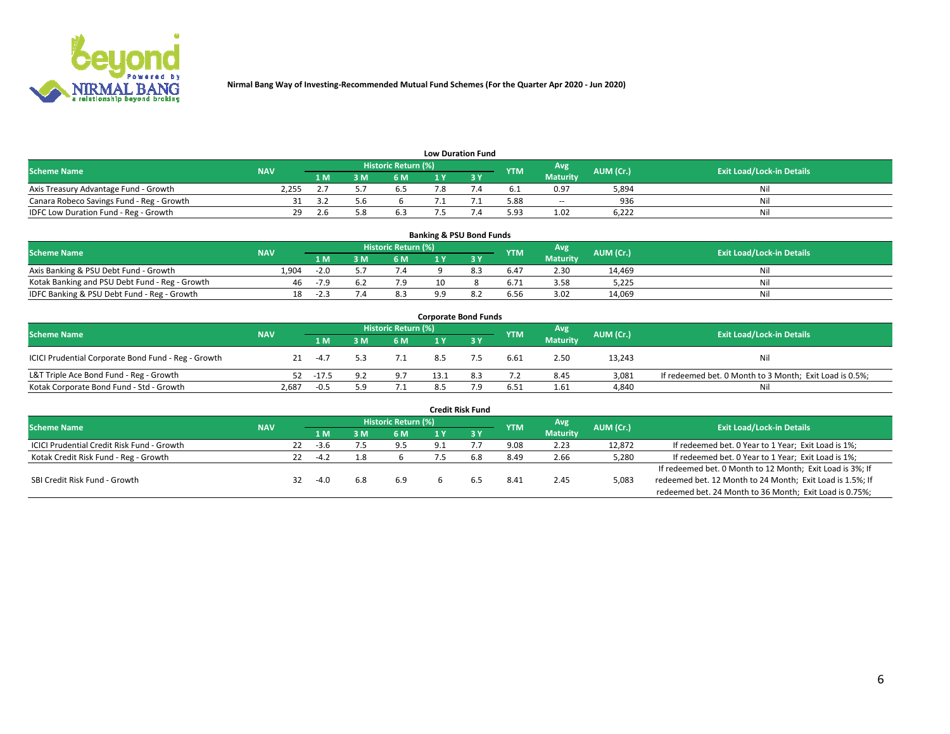

| <b>Low Duration Fund</b>                  |            |      |     |                      |  |  |            |                          |           |                                  |  |  |  |  |
|-------------------------------------------|------------|------|-----|----------------------|--|--|------------|--------------------------|-----------|----------------------------------|--|--|--|--|
| <b>Scheme Name</b>                        | <b>NAV</b> |      |     | Historic Return (%)' |  |  | <b>YTM</b> | Avg                      | AUM (Cr.) | <b>Exit Load/Lock-in Details</b> |  |  |  |  |
|                                           |            | '1 M | : M | 6 M                  |  |  |            | <b>Maturity</b>          |           |                                  |  |  |  |  |
| Axis Treasury Advantage Fund - Growth     | 2.255      |      |     | <b>0.3</b>           |  |  | 6. L       | 0.97                     | 5,894     | Nil                              |  |  |  |  |
| Canara Robeco Savings Fund - Reg - Growth |            |      |     |                      |  |  | 5.88       | $\overline{\phantom{a}}$ | 936       | Nil                              |  |  |  |  |
| IDFC Low Duration Fund - Reg - Growth     | 29         |      |     | 6.3                  |  |  | 5.93       | 1.02                     | 6.222     | Nil                              |  |  |  |  |

| <b>Banking &amp; PSU Bond Funds</b>            |            |        |   |                            |     |      |            |                 |           |                                  |  |  |  |  |
|------------------------------------------------|------------|--------|---|----------------------------|-----|------|------------|-----------------|-----------|----------------------------------|--|--|--|--|
| <b>Scheme Name</b>                             | <b>NAV</b> |        |   | <b>Historic Return (%)</b> |     |      | <b>YTM</b> | Avg             | AUM (Cr.) | <b>Exit Load/Lock-in Details</b> |  |  |  |  |
|                                                |            | 1 M    | M | 6 M                        |     |      |            | <b>Maturity</b> |           |                                  |  |  |  |  |
| Axis Banking & PSU Debt Fund - Growth          | 1.904      | $-2.0$ |   | 7.4                        |     | 8.3  | 6.47       | 2.30            | 14.469    | Nil                              |  |  |  |  |
| Kotak Banking and PSU Debt Fund - Reg - Growth | 46         | $-7.0$ |   | 7.9                        |     |      | 6.71       | 3.58            | 5.225     | Nil                              |  |  |  |  |
| IDFC Banking & PSU Debt Fund - Reg - Growth    | 18         | -2.3   |   | 8.3                        | o c | -8.2 | 6.56       | 3.02            | 14,069    | Nil                              |  |  |  |  |

| <b>Corporate Bond Funds</b>                         |            |         |     |                     |      |     |            |                 |           |                                                         |  |  |  |  |
|-----------------------------------------------------|------------|---------|-----|---------------------|------|-----|------------|-----------------|-----------|---------------------------------------------------------|--|--|--|--|
| <b>Scheme Name</b>                                  | <b>NAV</b> |         |     | Historic Return (%) |      |     | <b>YTM</b> | Avg             | AUM (Cr.) | <b>Exit Load/Lock-in Details</b>                        |  |  |  |  |
|                                                     |            | 1 M     | 8 M | 6 M                 |      |     |            | <b>Maturity</b> |           |                                                         |  |  |  |  |
| ICICI Prudential Corporate Bond Fund - Reg - Growth | 21         | $-4.7$  |     | 7.1                 | 8.5  |     | 6.61       | 2.50            | 13,243    | Nil                                                     |  |  |  |  |
| L&T Triple Ace Bond Fund - Reg - Growth             | 52         | $-17.5$ |     | 9.7                 | 13.1 | 8.3 | 7.2        | 8.45            | 3.081     | If redeemed bet. 0 Month to 3 Month; Exit Load is 0.5%; |  |  |  |  |
| Kotak Corporate Bond Fund - Std - Growth            | 2,687      | $-0.5$  | 5.9 | 7.1                 | 8.5  | 7 Q | 6.51       | 1.61            | 4,840     | Nil                                                     |  |  |  |  |

|                                            |            |    |        |     |                     |     | <b>Credit Risk Fund</b> |            |                 |           |                                                           |
|--------------------------------------------|------------|----|--------|-----|---------------------|-----|-------------------------|------------|-----------------|-----------|-----------------------------------------------------------|
| <b>Scheme Name</b>                         | <b>NAV</b> |    |        |     | Historic Return (%) |     |                         | <b>YTM</b> | Avg             | AUM (Cr.) | <b>Exit Load/Lock-in Details</b>                          |
|                                            |            |    | 1 M    |     | 6 M                 |     | 3Y                      |            | <b>Maturity</b> |           |                                                           |
| ICICI Prudential Credit Risk Fund - Growth |            | 22 | $-3.6$ |     | 9.5                 | 9.1 |                         | 9.08       | 2.23            | 12,872    | If redeemed bet. 0 Year to 1 Year; Exit Load is 1%;       |
| Kotak Credit Risk Fund - Reg - Growth      |            |    | $-4.2$ |     |                     |     | 6.8                     | 8.49       | 2.66            | 5,280     | If redeemed bet. 0 Year to 1 Year; Exit Load is 1%;       |
|                                            |            |    |        |     |                     |     |                         |            |                 |           | If redeemed bet. 0 Month to 12 Month; Exit Load is 3%; If |
| SBI Credit Risk Fund - Growth              |            | 32 | $-4.0$ | 6.8 | 6.9                 |     |                         | 8.41       | 2.45            | 5,083     | redeemed bet. 12 Month to 24 Month; Exit Load is 1.5%; If |
|                                            |            |    |        |     |                     |     |                         |            |                 |           | redeemed bet. 24 Month to 36 Month; Exit Load is 0.75%;   |